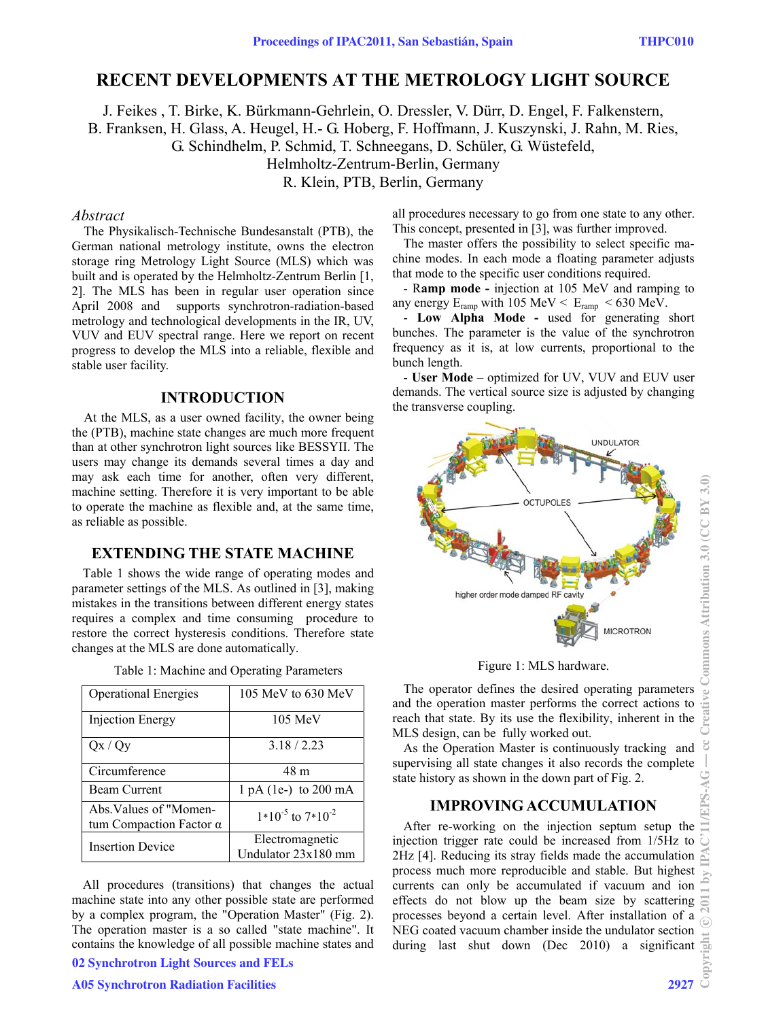# **RECENT DEVELOPMENTS AT THE METROLOGY LIGHT SOURCE**

J. Feikes , T. Birke, K. Bürkmann-Gehrlein, O. Dressler, V. Dürr, D. Engel, F. Falkenstern, B. Franksen, H. Glass, A. Heugel, H.- G. Hoberg, F. Hoffmann, J. Kuszynski, J. Rahn, M. Ries, G. Schindhelm, P. Schmid, T. Schneegans, D. Schüler, G. Wüstefeld, Helmholtz-Zentrum-Berlin, Germany R. Klein, PTB, Berlin, Germany

#### *Abstract*

The Physikalisch-Technische Bundesanstalt (PTB), the German national metrology institute, owns the electron storage ring Metrology Light Source (MLS) which was built and is operated by the Helmholtz-Zentrum Berlin [1, 2]. The MLS has been in regular user operation since April 2008 and supports synchrotron-radiation-based metrology and technological developments in the IR, UV, VUV and EUV spectral range. Here we report on recent progress to develop the MLS into a reliable, flexible and stable user facility.

#### **INTRODUCTION**

At the MLS, as a user owned facility, the owner being the (PTB), machine state changes are much more frequent than at other synchrotron light sources like BESSYII. The users may change its demands several times a day and may ask each time for another, often very different, machine setting. Therefore it is very important to be able to operate the machine as flexible and, at the same time, as reliable as possible.

### **EXTENDING THE STATE MACHINE**

Table 1 shows the wide range of operating modes and parameter settings of the MLS. As outlined in [3], making mistakes in the transitions between different energy states requires a complex and time consuming procedure to restore the correct hysteresis conditions. Therefore state changes at the MLS are done automatically.

| <b>Operational Energies</b>                              | 105 MeV to $630$ MeV                   |
|----------------------------------------------------------|----------------------------------------|
| <b>Injection Energy</b>                                  | 105 MeV                                |
| Qx / Qy                                                  | 3.18/2.23                              |
| Circumference                                            | 48 m                                   |
| <b>Beam Current</b>                                      | $1 pA (1e^-) to 200 mA$                |
| Abs. Values of "Momen-<br>tum Compaction Factor $\alpha$ | $1*10^{-5}$ to $7*10^{-2}$             |
| <b>Insertion Device</b>                                  | Electromagnetic<br>Undulator 23x180 mm |

All procedures (transitions) that changes the actual machine state into any other possible state are performed by a complex program, the "Operation Master" (Fig. 2). The operation master is a so called "state machine". It contains the knowledge of all possible machine states and

02 Synchrotron Light Sources and FELs

#### A05 Synchrotron Radiation Facilities 2927

all procedures necessary to go from one state to any other. This concept, presented in [3], was further improved.

The master offers the possibility to select specific machine modes. In each mode a floating parameter adjusts that mode to the specific user conditions required.

- R**amp mode -** injection at 105 MeV and ramping to any energy  $E_{ramp}$  with 105 MeV <  $E_{ramp}$  < 630 MeV.

- **Low Alpha Mode -** used for generating short bunches. The parameter is the value of the synchrotron frequency as it is, at low currents, proportional to the bunch length.

- **User Mode** – optimized for UV, VUV and EUV user demands. The vertical source size is adjusted by changing the transverse coupling.



Figure 1: MLS hardware.

The operator defines the desired operating parameters and the operation master performs the correct actions to reach that state. By its use the flexibility, inherent in the MLS design, can be fully worked out.

As the Operation Master is continuously tracking and supervising all state changes it also records the complete state history as shown in the down part of Fig. 2.

#### **IMPROVING ACCUMULATION**

After re-working on the injection septum setup the injection trigger rate could be increased from 1/5Hz to 2Hz [4]. Reducing its stray fields made the accumulation process much more reproducible and stable. But highest currents can only be accumulated if vacuum and ion effects do not blow up the beam size by scattering processes beyond a certain level. After installation of a NEG coated vacuum chamber inside the undulator section during last shut down (Dec 2010) a significant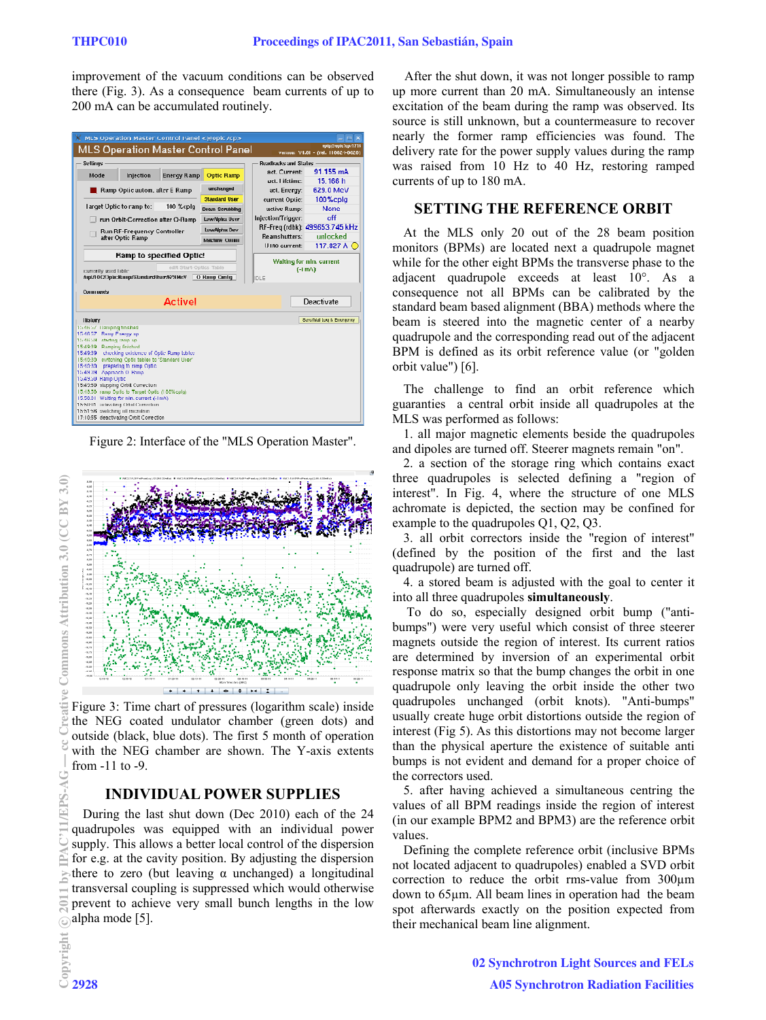improvement of the vacuum conditions can be observed there (Fig. 3). As a consequence beam currents of up to 200 mA can be accumulated routinely.

|                                                                                        |                                          | MLS Operation Master Control Panel <@opic7cp> |                                    |                                       | ×<br>п                                                   |
|----------------------------------------------------------------------------------------|------------------------------------------|-----------------------------------------------|------------------------------------|---------------------------------------|----------------------------------------------------------|
|                                                                                        |                                          |                                               | MLS Operation Master Control Panel |                                       | upip@upic1cp/1718<br>Version: V4.01 - (rel. 110024-0020) |
| <b>Settings</b>                                                                        |                                          | <b>Readhacks and Status</b>                   |                                    |                                       |                                                          |
| Mode                                                                                   | Injection                                | <b>Energy Ramp</b>                            | <b>Optic Ramp</b>                  | act. Current:                         | 91 155 mA                                                |
|                                                                                        |                                          |                                               |                                    | act. Lifetime:                        | 15.166 h                                                 |
| Ramp Optic autom, after E Ramp                                                         |                                          | unchanged                                     | act. Energy:                       | 629.0 MeV                             |                                                          |
|                                                                                        |                                          | <b>Standard User</b>                          | current Optic:                     | 100%cplg                              |                                                          |
| larget Optic to ramp to:                                                               |                                          | 100 %cplq                                     | <b>Deam Scrubbing</b>              | active Ramp:                          | <b>None</b>                                              |
| run Orbit-Correction after O-Ramp                                                      |                                          | Low/Noha User                                 | Injection/Trigger:                 | $n$ <sup><math>\text{ff}</math></sup> |                                                          |
| <b>Run RF-Frequency Controller</b><br>after Optic Ramp                                 |                                          | LowAlpha Dev                                  |                                    | RF-Freq (rdbk): 499653.745 kHz        |                                                          |
|                                                                                        |                                          | <b>Machine Curini</b>                         | Reamshutters:                      | unlocked                              |                                                          |
|                                                                                        |                                          |                                               |                                    | U180 current:                         | 117.827 A C                                              |
| <b>Ramp to specified Optic!</b>                                                        |                                          |                                               | Walting for min. current           |                                       |                                                          |
|                                                                                        |                                          |                                               |                                    |                                       |                                                          |
|                                                                                        |                                          | edit Start-Outics Table                       |                                    |                                       |                                                          |
| comently used table:                                                                   | Agil/LOC/Opta: Ramp/StandardUser/679 MeV |                                               | O Rang Omlig                       | DLE                                   | $(-1mA)$                                                 |
|                                                                                        |                                          |                                               |                                    |                                       |                                                          |
| Current pends                                                                          |                                          |                                               |                                    |                                       |                                                          |
|                                                                                        |                                          | <b>Active!</b>                                |                                    |                                       | Deactivate                                               |
| <b>History</b>                                                                         |                                          |                                               |                                    |                                       | Serchfall Lug & Entraction                               |
| 15 46 57 Damping finished                                                              |                                          |                                               |                                    |                                       |                                                          |
| 15 46 57 Ramp Energy up<br>15 46 59 starting ramp up                                   |                                          |                                               |                                    |                                       |                                                          |
| 15:49:39 Rumping finished                                                              |                                          |                                               |                                    |                                       |                                                          |
| 15:49:39 ehecking existence of Optic Ramp lables                                       |                                          |                                               |                                    |                                       |                                                          |
| 15:49:39 switching Optic tables to 'Standard User'<br>15:40:30 preparing to ramp Optic |                                          |                                               |                                    |                                       |                                                          |
| 15.4333 Approach O. Bamp                                                               |                                          |                                               |                                    |                                       |                                                          |
| 15,49.50 Hamp Optic<br>15:49:50 slupping Orbil Currection                              |                                          |                                               |                                    |                                       |                                                          |
| 15.49.50 ramp Optic to Target Optic (100%cplg)                                         |                                          |                                               |                                    |                                       |                                                          |
| 15.50.01 Walting for min. current (-1mA)                                               |                                          |                                               |                                    |                                       |                                                          |
| 15:50:01 activating Orbit Correction<br>15:51:56 switching oil mozolnon                |                                          |                                               |                                    |                                       |                                                          |

Figure 2: Interface of the "MLS Operation Master".



Figure 3: Time chart of pressures (logarithm scale) inside the NEG coated undulator chamber (green dots) and outside (black, blue dots). The first 5 month of operation with the NEG chamber are shown. The Y-axis extents from -11 to -9.

# **INDIVIDUAL POWER SUPPLIES**

During the last shut down (Dec 2010) each of the 24 quadrupoles was equipped with an individual power supply. This allows a better local control of the dispersion for e.g. at the cavity position. By adjusting the dispersion there to zero (but leaving  $\alpha$  unchanged) a longitudinal transversal coupling is suppressed which would otherwise prevent to achieve very small bunch lengths in the low alpha mode [5].

After the shut down, it was not longer possible to ramp up more current than 20 mA. Simultaneously an intense excitation of the beam during the ramp was observed. Its source is still unknown, but a countermeasure to recover nearly the former ramp efficiencies was found. The delivery rate for the power supply values during the ramp was raised from 10 Hz to 40 Hz, restoring ramped currents of up to 180 mA.

### **SETTING THE REFERENCE ORBIT**

At the MLS only 20 out of the 28 beam position monitors (BPMs) are located next a quadrupole magnet while for the other eight BPMs the transverse phase to the adjacent quadrupole exceeds at least 10°. As a consequence not all BPMs can be calibrated by the standard beam based alignment (BBA) methods where the beam is steered into the magnetic center of a nearby quadrupole and the corresponding read out of the adjacent BPM is defined as its orbit reference value (or "golden orbit value") [6].

The challenge to find an orbit reference which guaranties a central orbit inside all quadrupoles at the MLS was performed as follows:

1. all major magnetic elements beside the quadrupoles and dipoles are turned off. Steerer magnets remain "on".

2. a section of the storage ring which contains exact three quadrupoles is selected defining a "region of interest". In Fig. 4, where the structure of one MLS achromate is depicted, the section may be confined for example to the quadrupoles Q1, Q2, Q3.

3. all orbit correctors inside the "region of interest" (defined by the position of the first and the last quadrupole) are turned off.

4. a stored beam is adjusted with the goal to center it into all three quadrupoles **simultaneously**.

 To do so, especially designed orbit bump ("antibumps") were very useful which consist of three steerer magnets outside the region of interest. Its current ratios are determined by inversion of an experimental orbit response matrix so that the bump changes the orbit in one quadrupole only leaving the orbit inside the other two quadrupoles unchanged (orbit knots). "Anti-bumps" usually create huge orbit distortions outside the region of interest (Fig 5). As this distortions may not become larger than the physical aperture the existence of suitable anti bumps is not evident and demand for a proper choice of the correctors used.

5. after having achieved a simultaneous centring the values of all BPM readings inside the region of interest (in our example BPM2 and BPM3) are the reference orbit values.

Defining the complete reference orbit (inclusive BPMs not located adjacent to quadrupoles) enabled a SVD orbit correction to reduce the orbit rms-value from 300µm down to 65µm. All beam lines in operation had the beam spot afterwards exactly on the position expected from their mechanical beam line alignment.

c○

Commons Attribution 3.0 (CC BY 3.0)

reative